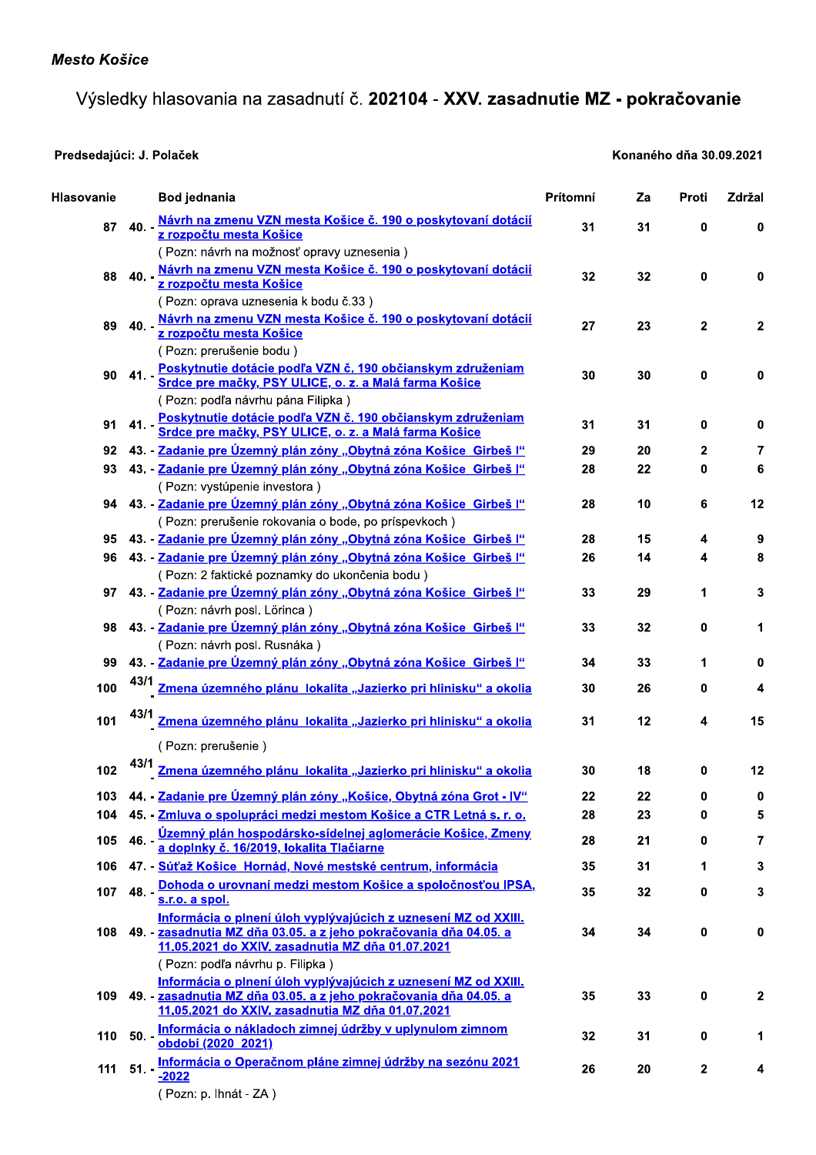## Výsledky hlasovania na zasadnutí č. 202104 - XXV. zasadnutie MZ - pokračovanie

## Predsedajúci: J. Polaček

## Konaného dňa 30.09.2021

| Hlasovanie |         | Bod jednania                                                                                                                                                                            | Prítomní | Za | Proti       | Zdržal |
|------------|---------|-----------------------------------------------------------------------------------------------------------------------------------------------------------------------------------------|----------|----|-------------|--------|
| 87         | $40. -$ | Návrh na zmenu VZN mesta Košice č. 190 o poskytovaní dotácií<br>z rozpočtu mesta Košice                                                                                                 | 31       | 31 | 0           | 0      |
| 88         | $40. -$ | (Pozn: návrh na možnosť opravy uznesenia)<br>Návrh na zmenu VZN mesta Košice č. 190 o poskytovaní dotácií<br>z rozpočtu mesta Košice                                                    | 32       | 32 | 0           | 0      |
| 89         | $40. -$ | (Pozn: oprava uznesenia k bodu č.33)<br>Návrh na zmenu VZN mesta Košice č. 190 o poskytovaní dotácií<br>z rozpočtu mesta Košice                                                         | 27       | 23 | 2           | 2      |
| 90         | $41. -$ | (Pozn: prerušenie bodu)<br>Poskytnutie dotácie podľa VZN č. 190 občianskym združeniam<br>Srdce pre mačky, PSY ULICE, o. z. a Malá farma Košice                                          | 30       | 30 | 0           | 0      |
| 91         | $41. -$ | (Pozn: podľa návrhu pána Filipka)<br>Poskytnutie dotácie podľa VZN č. 190 občianskym združeniam<br>Srdce pre mačky, PSY ULICE, o. z. a Malá farma Košice                                | 31       | 31 | 0           | 0      |
| 92         |         | 43. - Zadanie pre Územný plán zóny "Obytná zóna Košice Girbeš l"                                                                                                                        | 29       | 20 | 2           | 7      |
| 93         |         | 43. Zadanie pre Územný plán zóny "Obytná zóna Košice Girbeš l"                                                                                                                          | 28       | 22 | 0           | 6      |
|            |         | (Pozn: vystúpenie investora)                                                                                                                                                            |          |    |             |        |
| 94         |         | 43. - Zadanie pre Územný plán zóny "Obytná zóna Košice Girbeš l"<br>(Pozn: prerušenie rokovania o bode, po príspevkoch)                                                                 | 28       | 10 | 6           | 12     |
| 95         |         | 43. - Zadanie pre Územný plán zóny "Obytná zóna Košice Girbeš l"                                                                                                                        | 28       | 15 | 4           | 9      |
| 96         |         | 43. - Zadanie pre Územný plán zóny "Obytná zóna Košice Girbeš l"<br>(Pozn: 2 faktické poznamky do ukončenia bodu)                                                                       | 26       | 14 | 4           | 8      |
| 97         |         | 43. - Zadanje pre Územný plán zóny "Obytná zóna Košice Girbeš l"<br>(Pozn: návrh posl. Lörinca)                                                                                         | 33       | 29 | 1           | 3      |
| 98         |         | 43. - Zadanie pre Územný plán zóny "Obytná zóna Košice Girbeš l"<br>(Pozn: návrh posl. Rusnáka)                                                                                         | 33       | 32 | 0           | 1      |
| 99         |         | 43. - Zadanie pre Územný plán zóny "Obytná zóna Košice Girbeš l"                                                                                                                        | 34       | 33 | 1           | 0      |
| 100        |         | 43/1 <u>Zmena územného plánu lokalita "Jazierko pri hlinisku" a okolia</u>                                                                                                              | 30       | 26 | 0           | 4      |
| 101        |         | Zmena územného plánu lokalita "Jazierko pri hlinisku" a okolia                                                                                                                          | 31       | 12 | 4           | 15     |
|            |         | (Pozn: prerušenie)                                                                                                                                                                      |          |    |             |        |
| 102        | 43/1    | Zmena územného plánu lokalita "Jazierko pri hlinisku" a okolia                                                                                                                          | 30       | 18 | 0           | 12     |
|            |         | 103 44. Zadanie pre Územný plán zóny "Košice, Obytná zóna Grot - IV"                                                                                                                    | 22       | 22 | 0           | 0      |
| 104        |         | 45. - Zmluva o spolupráci medzi mestom Košice a CTR Letná s. r. o.                                                                                                                      | 28       | 23 | 0           | 5      |
| 105        | 46. -   | <u>Územný plán hospodársko-sídelnej aglomerácie Košice, Zmeny a doplnky č. 16/2019, lokalita Tlačiarne</u>                                                                              | 28       | 21 | 0           | 7      |
| 106        |         | 47. - Súťaž Košice Hornád, Nové mestské centrum, informácia                                                                                                                             | 35       | 31 | 1           | 3      |
| 107        |         | 48. Dohoda o urovnaní medzi mestom Košice a spoločnosťou IPSA,<br>s.r.o. a spol.                                                                                                        | 35       | 32 | 0           | 3      |
| 108        |         | Informácia o plnení úloh vyplývajúcich z uznesení MZ od XXIII.<br>49. - zasadnutia MZ dňa 03.05. a z jeho pokračovania dňa 04.05. a<br>11.05.2021 do XXIV. zasadnutia MZ dňa 01.07.2021 | 34       | 34 | 0           | 0      |
|            |         | (Pozn: podľa návrhu p. Filipka)                                                                                                                                                         |          |    |             |        |
| 109        |         | Informácia o plnení úloh vyplývajúcich z uznesení MZ od XXIII.<br>49. - zasadnutia MZ dňa 03.05. a z jeho pokračovania dňa 04.05. a<br>11.05.2021 do XXIV. zasadnutia MZ dňa 01.07.2021 | 35       | 33 | 0           | 2      |
| 110        |         | 50. Informácia o nákladoch zimnej údržby v uplynulom zimnom<br>období (2020 2021)                                                                                                       | 32       | 31 | 0           | 1.     |
| 111        | $51. -$ | Informácia o Operačnom pláne zimnej údržby na sezónu 2021<br>$-2022$<br>(Pozn: p. lhnát - ZA)                                                                                           | 26       | 20 | $\mathbf 2$ | 4      |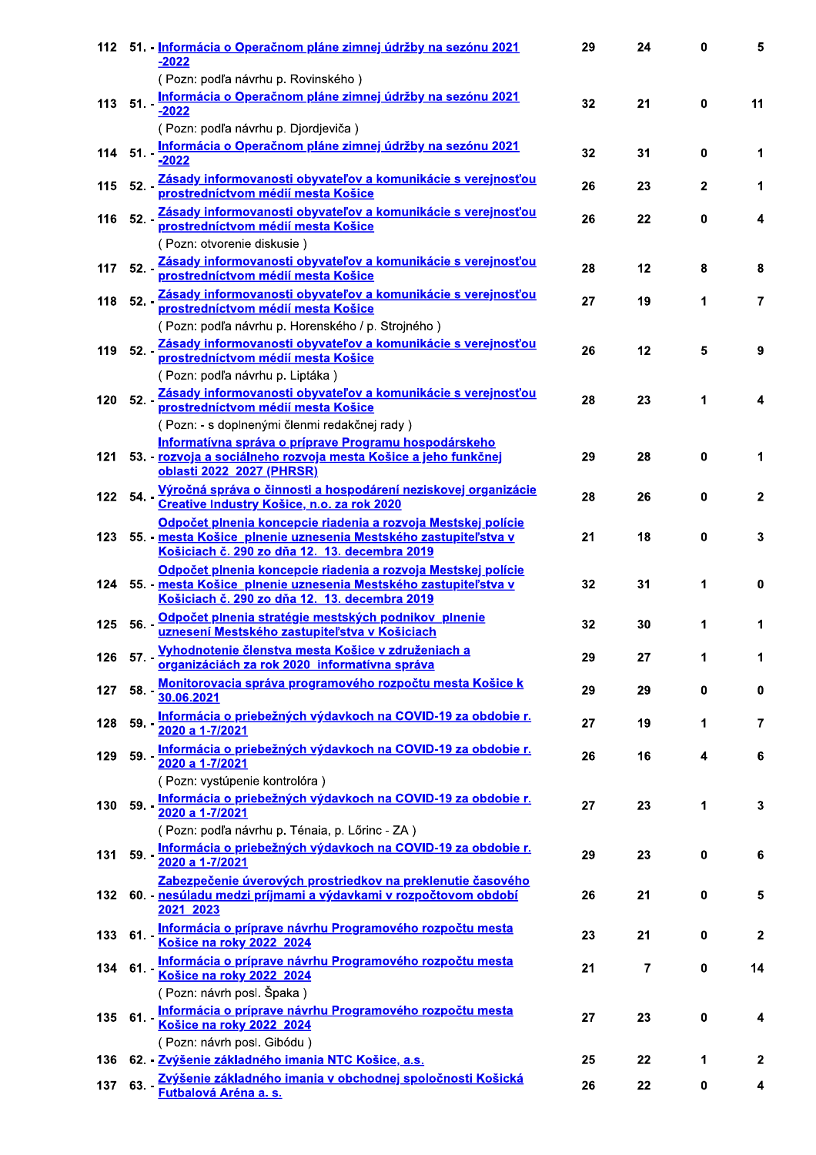|     |               | 112 51 - Informácia o Operačnom pláne zimnej údržby na sezónu 2021<br>-2022                                                                                                        | 29 | 24             | 0            | 5.           |
|-----|---------------|------------------------------------------------------------------------------------------------------------------------------------------------------------------------------------|----|----------------|--------------|--------------|
|     |               | (Pozn: podľa návrhu p. Rovinského)                                                                                                                                                 |    |                |              |              |
|     | $113$ $51. -$ | Informácia o Operačnom pláne zimnej údržby na sezónu 2021<br>$-2022$                                                                                                               | 32 | 21             | $\mathbf{0}$ | 11           |
|     |               | (Pozn: podľa návrhu p. Djordjeviča)                                                                                                                                                |    |                |              |              |
| 114 | $51. -$       | Informácia o Operačnom pláne zimnej údržby na sezónu 2021<br>$-2022$                                                                                                               | 32 | 31             | 0            | 1            |
| 115 |               | 52. Zásady informovanosti obyvateľov a komunikácie s verejnosťou.<br>prostredníctvom médií mesta Košice                                                                            | 26 | 23             | $\mathbf{2}$ | 1            |
| 116 |               | 52. Zásady informovanosti obyvateľov a komunikácie s verejnosťou<br>prostredníctvom médií mesta Košice                                                                             | 26 | 22             | $\bf{0}$     | 4            |
|     |               | (Pozn: otvorenie diskusie)                                                                                                                                                         |    |                |              |              |
| 117 |               | 52. Zásady informovanosti obyvateľov a komunikácie s verejnosťou<br>prostredníctvom médií mesta Košice                                                                             | 28 | 12             | 8            | 8            |
| 118 |               | 52. Zásady informovanosti obyvateľov a komunikácie s verejnosťou.<br>prostredníctvom médií mesta Košice                                                                            | 27 | 19             | 1            | 7            |
|     |               | (Pozn: podľa návrhu p. Horenského / p. Strojného)                                                                                                                                  |    |                |              |              |
| 119 |               | 52. - Zásady informovanosti obyvateľov a komunikácie s verejnosťou                                                                                                                 | 26 | 12             | 5            | 9            |
|     |               | (Pozn: podľa návrhu p. Liptáka)                                                                                                                                                    |    |                |              |              |
| 120 |               | 52. - Zásady informovanosti obyvateľov a komunikácie s verejnosťou                                                                                                                 | 28 | 23             | 1            | 4            |
|     |               | (Pozn: - s doplnenými členmi redakčnej rady)                                                                                                                                       |    |                |              |              |
| 121 |               | <u>Informatívna správa o príprave Programu hospodárskeho</u><br><u>53. - rozvoja a sociálneho rozvoja mesta Košice a jeho funkčnej</u><br>oblasti 2022 2027 (PHRSR)                | 29 | 28             | 0            | 1            |
| 122 |               | 54. Výročná správa o činnosti a hospodárení neziskovej organizácie<br>Creative Industry Košice, n.o. za rok 2020                                                                   | 28 | 26             | $\bf{0}$     | $\mathbf{2}$ |
|     |               | Odpočet plnenia koncepcie riadenia a rozvoja Mestskej polície                                                                                                                      |    |                |              |              |
| 123 |               | 55. - mesta Košice plnenie uznesenia Mestského zastupiteľstva v<br>Košiciach č. 290 zo dňa 12. 13. decembra 2019                                                                   | 21 | 18             | $\bf{0}$     | 3            |
| 124 |               | Odpočet plnenia koncepcie riadenia a rozvoja Mestskej polície<br>55. - mesta Košice, plnenie uznesenia Mestského zastupiteľstva v<br>Košiciach č. 290 zo dňa 12. 13. decembra 2019 | 32 | 31             | 1            | $\bf{0}$     |
| 125 |               | 56. Odpočet plnenia stratégie mestských podnikov plnenie<br>uznesení Mestského zastupiteľstva v Košiciach                                                                          | 32 | 30             | 1            | 1            |
| 126 |               | 57. Vyhodnotenie členstva mesta Košice v združeniach a<br>organizáciách za rok 2020 informatívna správa                                                                            | 29 | 27             | 1            | 1            |
| 127 | $58. -$       | Monitorovacia správa programového rozpočtu mesta Košice k<br>30.06.2021                                                                                                            | 29 | 29             | $\pmb{0}$    | $\pmb{0}$    |
| 128 |               | 59. - Informácia o priebežných výdavkoch na COVID-19 za obdobie r.<br>2020 a 1-7/2021                                                                                              | 27 | 19             | 1            | 7            |
| 129 |               | 59. - Informácia o priebežných výdavkoch na COVID-19 za obdobie r.<br>2020 a 1-7/2021                                                                                              | 26 | 16             | 4            | 6            |
|     |               | (Pozn: vystúpenie kontrolóra)<br>Informácia o priebežných výdavkoch na COVID-19 za obdobie r.                                                                                      |    |                |              |              |
| 130 | $59. -$       | 2020 a 1-7/2021<br>(Pozn: podľa návrhu p. Ténaia, p. Lőrinc - ZA)                                                                                                                  | 27 | 23             | 1            | 3            |
| 131 |               | 59. Informácia o priebežných výdavkoch na COVID-19 za obdobie r.<br>2020 a 1-7/2021                                                                                                | 29 | 23             | $\pmb{0}$    | 6            |
|     |               | Zabezpečenie úverových prostriedkov na preklenutie časového                                                                                                                        |    |                |              |              |
| 132 |               | 60. - nesúladu medzi príjmami a výdavkami v rozpočtovom období<br>2021 2023                                                                                                        | 26 | 21             | 0            | 5            |
| 133 | $61. -$       | Informácia o príprave návrhu Programového rozpočtu mesta<br>Košice na roky 2022 2024                                                                                               | 23 | 21             | 0            | $\mathbf{2}$ |
| 134 |               | 61. Informácia o príprave návrhu Programového rozpočtu mesta<br>Košice na roky 2022 2024                                                                                           | 21 | $\overline{7}$ | $\pmb{0}$    | 14           |
|     |               | (Pozn: návrh posl. Špaka)                                                                                                                                                          |    |                |              |              |
| 135 |               | 61. Informácia o príprave návrhu Programového rozpočtu mesta<br>Košice na roky 2022 2024<br>(Pozn: návrh posl. Gibódu)                                                             | 27 | 23             | 0            | 4            |
| 136 |               | 62. - Zvýšenie základného imania NTC Košice, a.s.                                                                                                                                  | 25 | 22             | 1            | $\mathbf{2}$ |
|     |               |                                                                                                                                                                                    |    |                |              |              |
| 137 | $63. -$       | Zvýšenie základného imania v obchodnej spoločnosti Košická<br>Futbalová Aréna a. s.                                                                                                | 26 | 22             | 0            | 4            |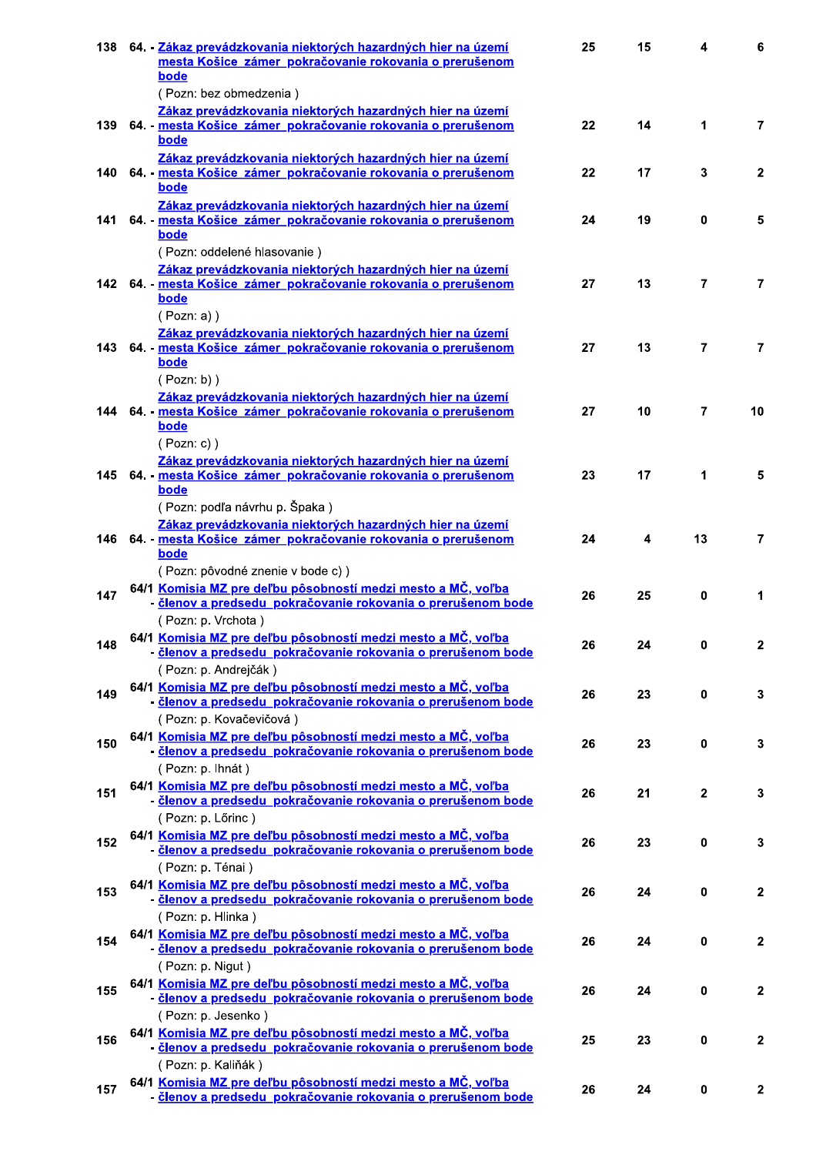| 138  | 64. - Zákaz prevádzkovania niektorých hazardných hier na území<br>mesta Košice zámer pokračovanie rokovania o prerušenom<br>bode                                         | 25 | 15 | 4              | 6               |
|------|--------------------------------------------------------------------------------------------------------------------------------------------------------------------------|----|----|----------------|-----------------|
|      | (Pozn: bez obmedzenia)                                                                                                                                                   |    |    |                |                 |
| 139  | Zákaz prevádzkovania niektorých hazardných hier na území<br>64. - mesta Košice zámer_pokračovanie rokovania o prerušenom<br>bode                                         | 22 | 14 | 1              | $\overline{7}$  |
| 140  | Zákaz prevádzkovania niektorých hazardných hier na území<br>64. - mesta Košice zámer pokračovanie rokovania o prerušenom<br>bode                                         | 22 | 17 | 3              | $\mathbf{2}$    |
| 141  | Zákaz prevádzkovania niektorých hazardných hier na území<br>64. mesta Košice zámer pokračovanie rokovania o prerušenom<br>bode                                           | 24 | 19 | 0              | 5               |
|      | (Pozn: oddelené hlasovanie)<br>Zákaz prevádzkovania niektorých hazardných hier na území<br>142 64. mesta Košice zámer pokračovanie rokovania o prerušenom<br><b>bode</b> | 27 | 13 | 7              | 7               |
| 143. | (Pozn: a))<br>Zákaz prevádzkovania niektorých hazardných hier na území<br>64. - mesta Košice zámer pokračovanie rokovania o prerušenom<br>bode                           | 27 | 13 | $\overline{7}$ | 7               |
|      | $( Pozn: b)$ )<br>Zákaz prevádzkovania niektorých hazardných hier na území<br>144 64 - mesta Košice zámer pokračovanie rokovania o prerušenom<br>bode                    | 27 | 10 | 7              | 10 <sup>1</sup> |
| 145  | $( Pozn: c)$ )<br>Zákaz prevádzkovania niektorých hazardných hier na území<br>64. - mesta Košice zámer pokračovanie rokovania o prerušenom<br>bode                       | 23 | 17 | 1              | 5               |
| 146  | (Pozn: podľa návrhu p. Špaka)<br>Zákaz prevádzkovania niektorých hazardných hier na území<br>64. - mesta Košice zámer pokračovanie rokovania o prerušenom<br>bode        | 24 | 4  | 13             | $\mathbf{7}$    |
| 147  | (Pozn: pôvodné znenie v bode c))<br>64/1 Komisia MZ pre deľbu pôsobností medzi mesto a MČ, voľba<br>- členov a predsedu pokračovanie rokovania o prerušenom bode         | 26 | 25 | 0              | 1               |
| 148  | (Pozn: p. Vrchota)<br>64/1 Komisia MZ pre deľbu pôsobností medzi mesto a MČ, voľba<br>- členov a predsedu pokračovanie rokovania o prerušenom bode                       | 26 | 24 | 0              | 2               |
| 149  | (Pozn: p. Andrejčák)<br>64/1 Komisia MZ pre deľbu pôsobností medzi mesto a MČ, voľba<br>- členov a predsedu pokračovanie rokovania o prerušenom bode                     | 26 | 23 | $\mathbf 0$    | $\overline{3}$  |
| 150  | (Pozn: p. Kovačevičová)<br>64/1 Komisia MZ pre deľbu pôsobností medzi mesto a MČ, voľba<br>· členov a predsedu pokračovanie rokovania o prerušenom bode                  | 26 | 23 | $\mathbf{0}$   | $\mathbf{3}$    |
| 151  | (Pozn: p. lhnát)<br>64/1 Komisia MZ pre deľbu pôsobností medzi mesto a MČ, voľba<br>- členov a predsedu pokračovanie rokovania o prerušenom bode                         | 26 | 21 | $\mathbf{2}$   | $\mathbf{3}$    |
| 152  | (Pozn: p. Lőrinc)<br>64/1 Komisia MZ pre deľbu pôsobností medzi mesto a MČ, voľba<br>- členov a predsedu pokračovanie rokovania o prerušenom bode                        | 26 | 23 | $\mathbf{0}$   | $\mathbf{3}$    |
| 153  | (Pozn: p. Ténai)<br>64/1 Komisia MZ pre deľbu pôsobností medzi mesto a MČ, voľba<br>- členov a predsedu pokračovanie rokovania o prerušenom bode                         | 26 | 24 | 0              | $\overline{2}$  |
| 154  | (Pozn: p. Hlinka)<br>64/1 Komisia MZ pre deľbu pôsobností medzi mesto a MČ, voľba<br>- členov a predsedu pokračovanie rokovania o prerušenom bode                        | 26 | 24 | 0              | $\mathbf{2}$    |
| 155  | (Pozn: p. Nigut)<br>64/1 Komisia MZ pre deľbu pôsobností medzi mesto a MČ, voľba<br>- členov a predsedu pokračovanie rokovania o prerušenom bode                         | 26 | 24 | 0              | $\overline{2}$  |
| 156  | (Pozn: p. Jesenko)<br>64/1 Komisia MZ pre deľbu pôsobností medzi mesto a MČ, voľba<br><u>členov a predsedu pokračovanie rokovania o prerušenom bode</u>                  | 25 | 23 | 0              | $\overline{2}$  |
| 157  | (Pozn: p. Kaliňák)<br>64/1 Komisia MZ pre deľbu pôsobností medzi mesto a MČ, voľba<br>- členov a predsedu pokračovanie rokovania o prerušenom bode                       | 26 | 24 | $\mathbf 0$    | $\mathbf{2}$    |